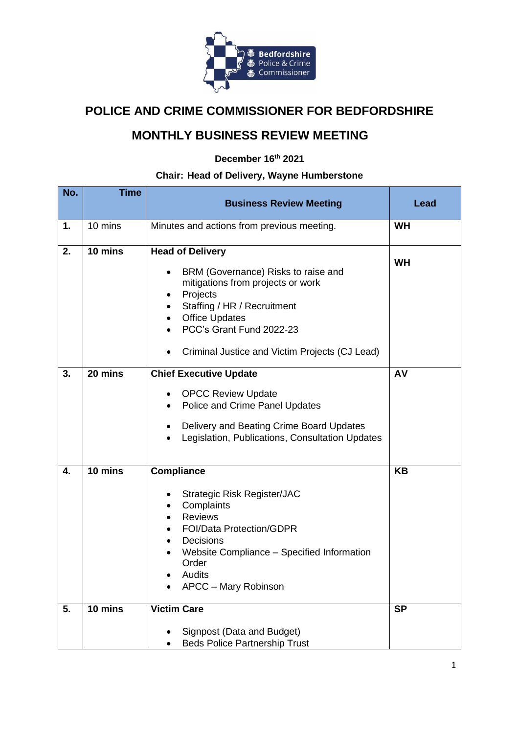

## **POLICE AND CRIME COMMISSIONER FOR BEDFORDSHIRE**

## **MONTHLY BUSINESS REVIEW MEETING**

**December 16th 2021**

## **Chair: Head of Delivery, Wayne Humberstone**

| No. | <b>Time</b>       | <b>Business Review Meeting</b>                                                                                                                                                                                                                                          | Lead      |
|-----|-------------------|-------------------------------------------------------------------------------------------------------------------------------------------------------------------------------------------------------------------------------------------------------------------------|-----------|
|     |                   |                                                                                                                                                                                                                                                                         |           |
| 1.  | $10 \text{ mins}$ | Minutes and actions from previous meeting.                                                                                                                                                                                                                              | <b>WH</b> |
| 2.  | 10 mins           | <b>Head of Delivery</b><br>BRM (Governance) Risks to raise and<br>$\bullet$<br>mitigations from projects or work<br>Projects<br>٠<br>Staffing / HR / Recruitment<br><b>Office Updates</b><br>PCC's Grant Fund 2022-23<br>Criminal Justice and Victim Projects (CJ Lead) | <b>WH</b> |
| 3.  | 20 mins           | <b>Chief Executive Update</b><br><b>OPCC Review Update</b><br>٠<br>Police and Crime Panel Updates<br>$\bullet$<br>Delivery and Beating Crime Board Updates<br>٠<br>Legislation, Publications, Consultation Updates<br>$\bullet$                                         | AV        |
| 4.  | 10 mins           | <b>Compliance</b><br><b>Strategic Risk Register/JAC</b><br>٠<br>Complaints<br><b>Reviews</b><br><b>FOI/Data Protection/GDPR</b><br>Decisions<br>Website Compliance - Specified Information<br>Order<br>Audits<br>APCC - Mary Robinson                                   | KB        |
| 5.  | 10 mins           | <b>Victim Care</b><br>Signpost (Data and Budget)<br><b>Beds Police Partnership Trust</b>                                                                                                                                                                                | <b>SP</b> |